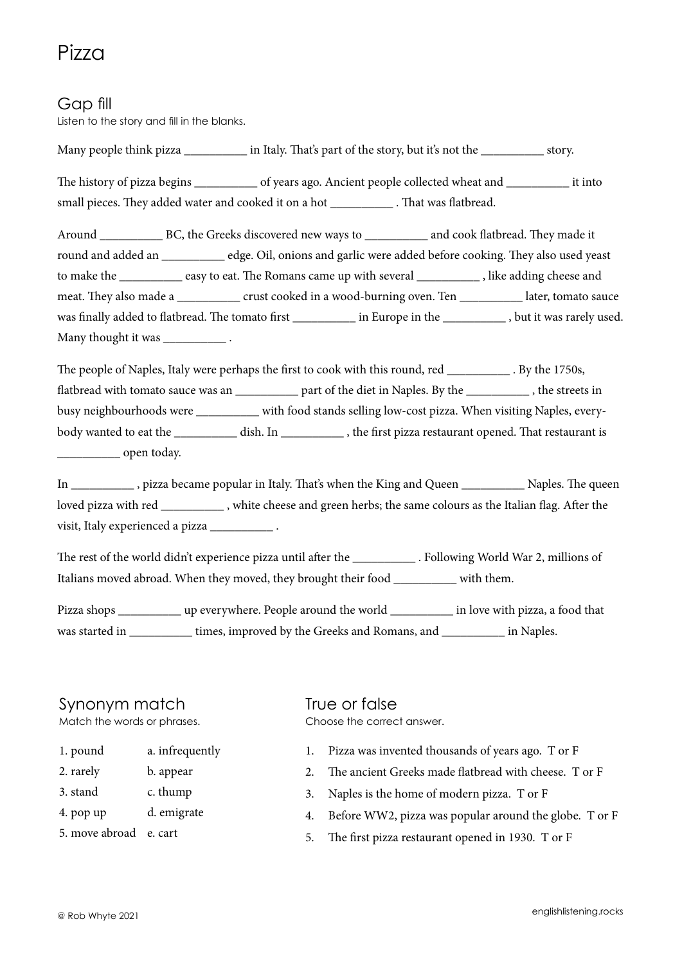# Pizza

### Gap fill

Listen to the story and fill in the blanks.

Many people think pizza  $\qquad \qquad$  in Italy. That's part of the story, but it's not the story, The history of pizza begins \_\_\_\_\_\_\_\_\_\_\_\_ of years ago. Ancient people collected wheat and \_\_\_\_\_\_\_\_\_\_\_\_\_ it into small pieces. They added water and cooked it on a hot \_\_\_\_\_\_\_\_\_\_ . That was flatbread.

Around BC, the Greeks discovered new ways to \_\_\_\_\_\_\_\_\_ and cook flatbread. They made it round and added an \_\_\_\_\_\_\_\_\_\_ edge. Oil, onions and garlic were added before cooking. They also used yeast to make the \_\_\_\_\_\_\_\_\_\_ easy to eat. The Romans came up with several \_\_\_\_\_\_\_\_\_\_ , like adding cheese and meat. They also made a \_\_\_\_\_\_\_\_\_\_\_\_ crust cooked in a wood-burning oven. Ten \_\_\_\_\_\_\_\_\_\_\_ later, tomato sauce was finally added to flatbread. The tomato first \_\_\_\_\_\_\_\_\_ in Europe in the \_\_\_\_\_\_\_\_\_\_\_\_, but it was rarely used. Many thought it was \_\_\_\_\_\_\_\_\_\_\_\_\_\_\_\_.

The people of Naples, Italy were perhaps the first to cook with this round, red \_\_\_\_\_\_\_\_\_\_ . By the 1750s, flatbread with tomato sauce was an \_\_\_\_\_\_\_\_\_\_\_ part of the diet in Naples. By the \_\_\_\_\_\_\_\_\_\_\_\_ , the streets in busy neighbourhoods were \_\_\_\_\_\_\_\_\_\_ with food stands selling low-cost pizza. When visiting Naples, everybody wanted to eat the \_\_\_\_\_\_\_\_\_\_ dish. In \_\_\_\_\_\_\_\_\_\_ , the first pizza restaurant opened. That restaurant is \_\_\_\_\_\_\_\_\_\_ open today.

In \_\_\_\_\_\_\_\_\_\_ , pizza became popular in Italy. That's when the King and Queen \_\_\_\_\_\_\_\_\_\_ Naples. The queen loved pizza with red \_\_\_\_\_\_\_\_\_\_ , white cheese and green herbs; the same colours as the Italian flag. After the visit, Italy experienced a pizza \_\_\_\_\_\_\_\_\_\_ .

The rest of the world didn't experience pizza until after the . Following World War 2, millions of Italians moved abroad. When they moved, they brought their food \_\_\_\_\_\_\_\_\_\_\_ with them.

Pizza shops \_\_\_\_\_\_\_\_\_\_ up everywhere. People around the world \_\_\_\_\_\_\_\_\_\_ in love with pizza, a food that was started in \_\_\_\_\_\_\_\_\_\_\_\_ times, improved by the Greeks and Romans, and \_\_\_\_\_\_\_\_\_\_\_\_\_ in Naples.

## Synonym match

Match the words or phrases.

- 1. pound a. infrequently
- 2. rarely b. appear
- 3. stand c. thump
- 4. pop up d. emigrate
- 5. move abroad e. cart

#### True or false Choose the correct answer.

- 1. Pizza was invented thousands of years ago. T or F
- 2. The ancient Greeks made flatbread with cheese. T or F
- 3. Naples is the home of modern pizza. T or F
- 4. Before WW2, pizza was popular around the globe. T or F
- 5. The first pizza restaurant opened in 1930. T or F